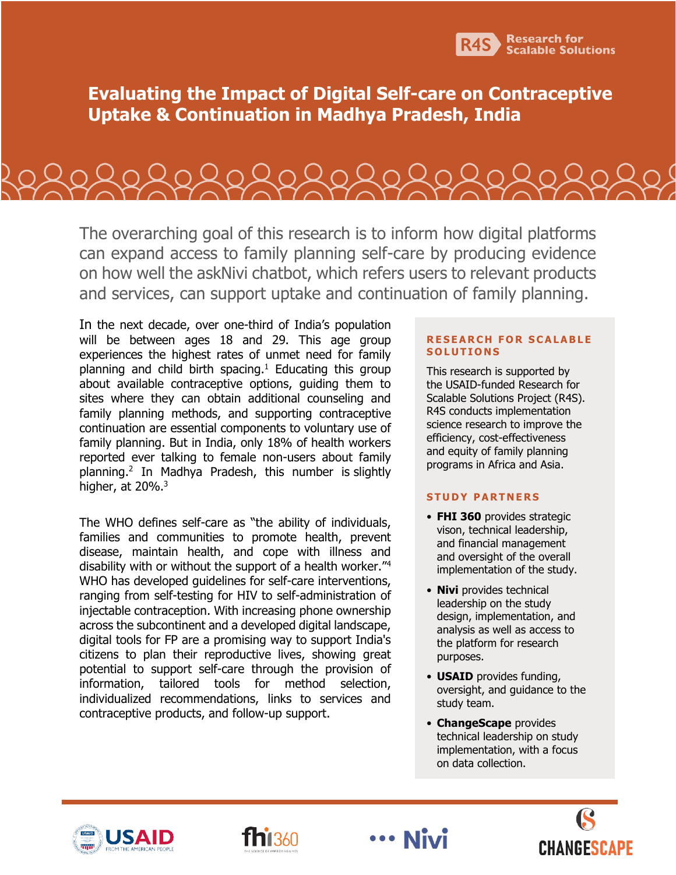

**Evaluating the Impact of Digital Self-care on Contraceptive Uptake & Continuation in Madhya Pradesh, India**

Referenceseseses

The overarching goal of this research is to inform how digital platforms can expand access to family planning self-care by producing evidence on how well the askNivi chatbot, which refers users to relevant products and services, can support uptake and continuation of family planning.

In the next decade, over one-third of India's population will be between ages 18 and 29. This age group experiences the highest rates of unmet need for family planning and child birth spacing.<sup>1</sup> Educating this group about available contraceptive options, guiding them to sites where they can obtain additional counseling and family planning methods, and supporting contraceptive continuation are essential components to voluntary use of family planning. But in India, only 18% of health workers reported ever talking to female non-users about family planning.<sup>2</sup> In Madhya Pradesh, this number is slightly higher, at 20%.<sup>3</sup>

The WHO defines self-care as "the ability of individuals, families and communities to promote health, prevent disease, maintain health, and cope with illness and disability with or without the support of a health worker."<sup>4</sup> WHO has developed guidelines for self-care interventions, ranging from self-testing for HIV to self-administration of injectable contraception. With increasing phone ownership across the subcontinent and a developed digital landscape, digital tools for FP are a promising way to support India's citizens to plan their reproductive lives, showing great potential to support self-care through the provision of information, tailored tools for method selection, individualized recommendations, links to services and contraceptive products, and follow-up support.

#### **RESEARCH FOR SCALABLE S O L U T I O N S**

This research is supported by the USAID-funded Research for Scalable Solutions Project (R4S). R4S conducts implementation science research to improve the efficiency, cost-effectiveness and equity of family planning programs in Africa and Asia.

## **STUDY PARTNERS**

- **FHI 360** provides strategic vison, technical leadership, and financial management and oversight of the overall implementation of the study.
- **Nivi** provides technical leadership on the study design, implementation, and analysis as well as access to the platform for research purposes.
- **USAID** provides funding, oversight, and guidance to the study team.
- **ChangeScape** provides technical leadership on study implementation, with a focus on data collection.





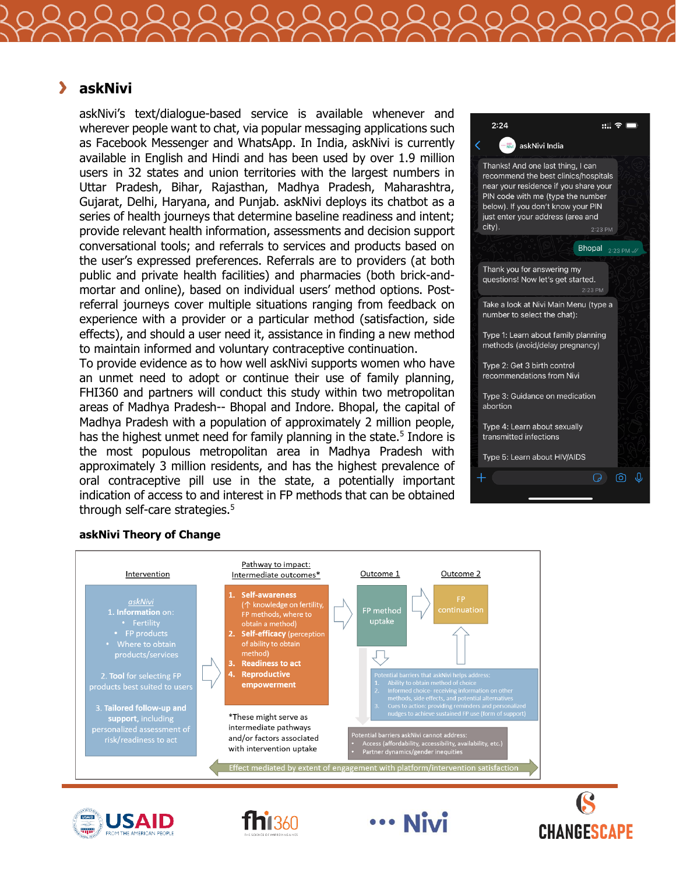#### $\blacktriangleright$ **askNivi**

askNivi's text/dialogue-based service is available whenever and wherever people want to chat, via popular messaging applications such as Facebook Messenger and WhatsApp. In India, askNivi is currently available in English and Hindi and has been used by over 1.9 million users in 32 states and union territories with the largest numbers in Uttar Pradesh, Bihar, Rajasthan, Madhya Pradesh, Maharashtra, Gujarat, Delhi, Haryana, and Punjab. askNivi deploys its chatbot as a series of health journeys that determine baseline readiness and intent; provide relevant health information, assessments and decision support conversational tools; and referrals to services and products based on the user's expressed preferences. Referrals are to providers (at both public and private health facilities) and pharmacies (both brick-andmortar and online), based on individual users' method options. Postreferral journeys cover multiple situations ranging from feedback on experience with a provider or a particular method (satisfaction, side effects), and should a user need it, assistance in finding a new method to maintain informed and voluntary contraceptive continuation.

To provide evidence as to how well askNivi supports women who have an unmet need to adopt or continue their use of family planning, FHI360 and partners will conduct this study within two metropolitan areas of Madhya Pradesh-- Bhopal and Indore. Bhopal, the capital of Madhya Pradesh with a population of approximately 2 million people, has the highest unmet need for family planning in the state.<sup>5</sup> Indore is the most populous metropolitan area in Madhya Pradesh with approximately 3 million residents, and has the highest prevalence of oral contraceptive pill use in the state, a potentially important indication of access to and interest in FP methods that can be obtained through self-care strategies.<sup>5</sup>



#### **askNivi Theory of Change**







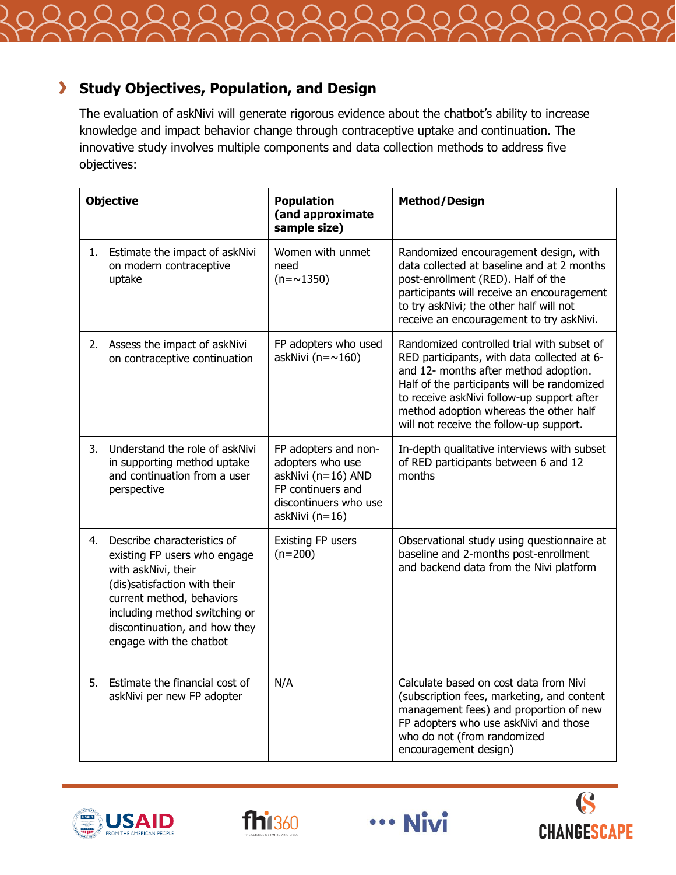

# **Study Objectives, Population, and Design**

The evaluation of askNivi will generate rigorous evidence about the chatbot's ability to increase knowledge and impact behavior change through contraceptive uptake and continuation. The innovative study involves multiple components and data collection methods to address five objectives:

| <b>Objective</b> |                                                                                                                                                                                                                                              | <b>Population</b><br>(and approximate<br>sample size)                                                                          | <b>Method/Design</b>                                                                                                                                                                                                                                                                                                 |
|------------------|----------------------------------------------------------------------------------------------------------------------------------------------------------------------------------------------------------------------------------------------|--------------------------------------------------------------------------------------------------------------------------------|----------------------------------------------------------------------------------------------------------------------------------------------------------------------------------------------------------------------------------------------------------------------------------------------------------------------|
| 1.               | Estimate the impact of askNivi<br>on modern contraceptive<br>uptake                                                                                                                                                                          | Women with unmet<br>need<br>$(n = \sim 1350)$                                                                                  | Randomized encouragement design, with<br>data collected at baseline and at 2 months<br>post-enrollment (RED). Half of the<br>participants will receive an encouragement<br>to try askNivi; the other half will not<br>receive an encouragement to try askNivi.                                                       |
|                  | 2. Assess the impact of askNivi<br>on contraceptive continuation                                                                                                                                                                             | FP adopters who used<br>askNivi ( $n = \sim 160$ )                                                                             | Randomized controlled trial with subset of<br>RED participants, with data collected at 6-<br>and 12- months after method adoption.<br>Half of the participants will be randomized<br>to receive askNivi follow-up support after<br>method adoption whereas the other half<br>will not receive the follow-up support. |
|                  | 3. Understand the role of askNivi<br>in supporting method uptake<br>and continuation from a user<br>perspective                                                                                                                              | FP adopters and non-<br>adopters who use<br>askNivi (n=16) AND<br>FP continuers and<br>discontinuers who use<br>askNivi (n=16) | In-depth qualitative interviews with subset<br>of RED participants between 6 and 12<br>months                                                                                                                                                                                                                        |
| 4.               | Describe characteristics of<br>existing FP users who engage<br>with askNivi, their<br>(dis)satisfaction with their<br>current method, behaviors<br>including method switching or<br>discontinuation, and how they<br>engage with the chatbot | Existing FP users<br>$(n=200)$                                                                                                 | Observational study using questionnaire at<br>baseline and 2-months post-enrollment<br>and backend data from the Nivi platform                                                                                                                                                                                       |
| 5.               | Estimate the financial cost of<br>askNivi per new FP adopter                                                                                                                                                                                 | N/A                                                                                                                            | Calculate based on cost data from Nivi<br>(subscription fees, marketing, and content<br>management fees) and proportion of new<br>FP adopters who use askNivi and those<br>who do not (from randomized<br>encouragement design)                                                                                      |